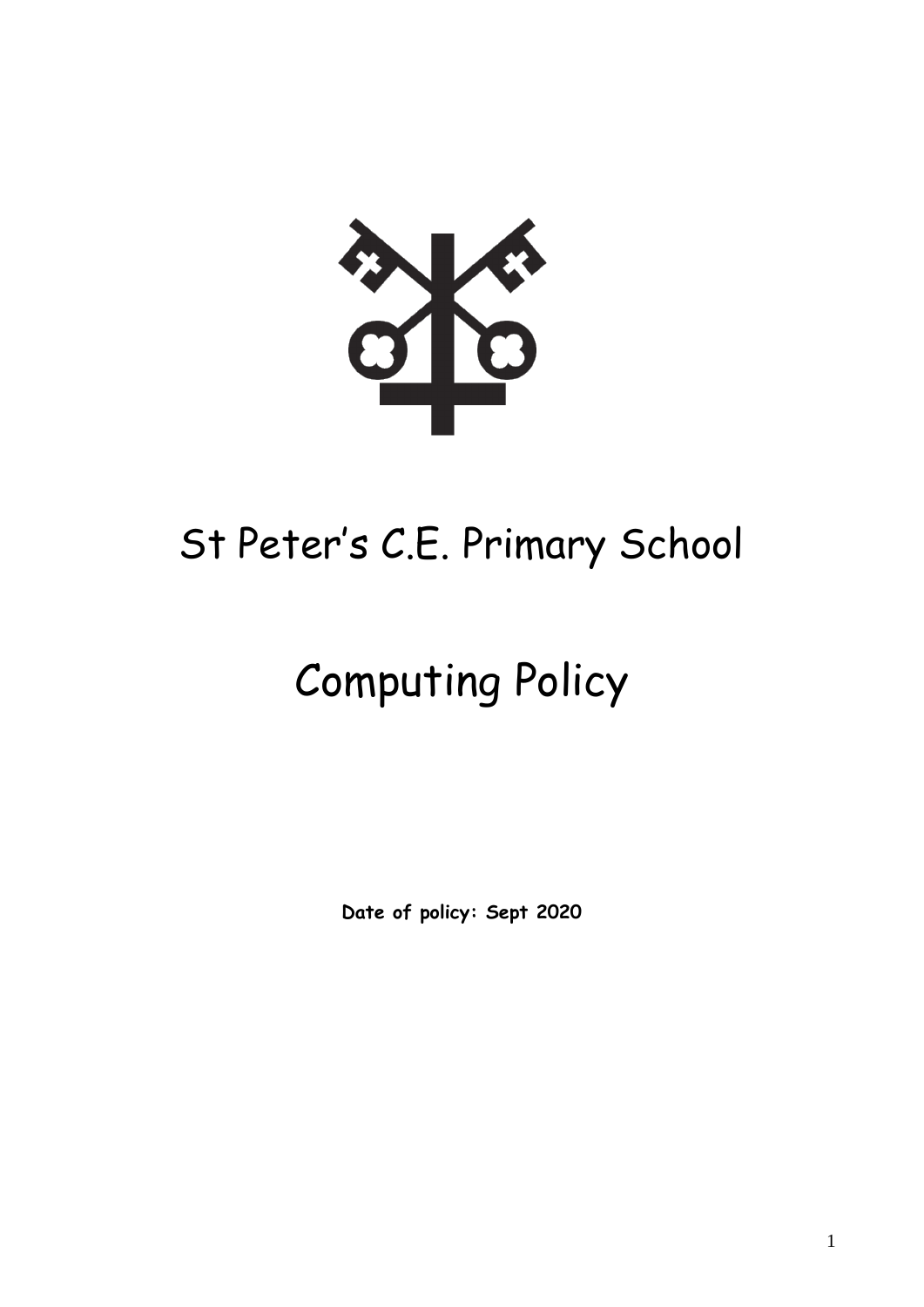

# St Peter's C.E. Primary School

# Computing Policy

**Date of policy: Sept 2020**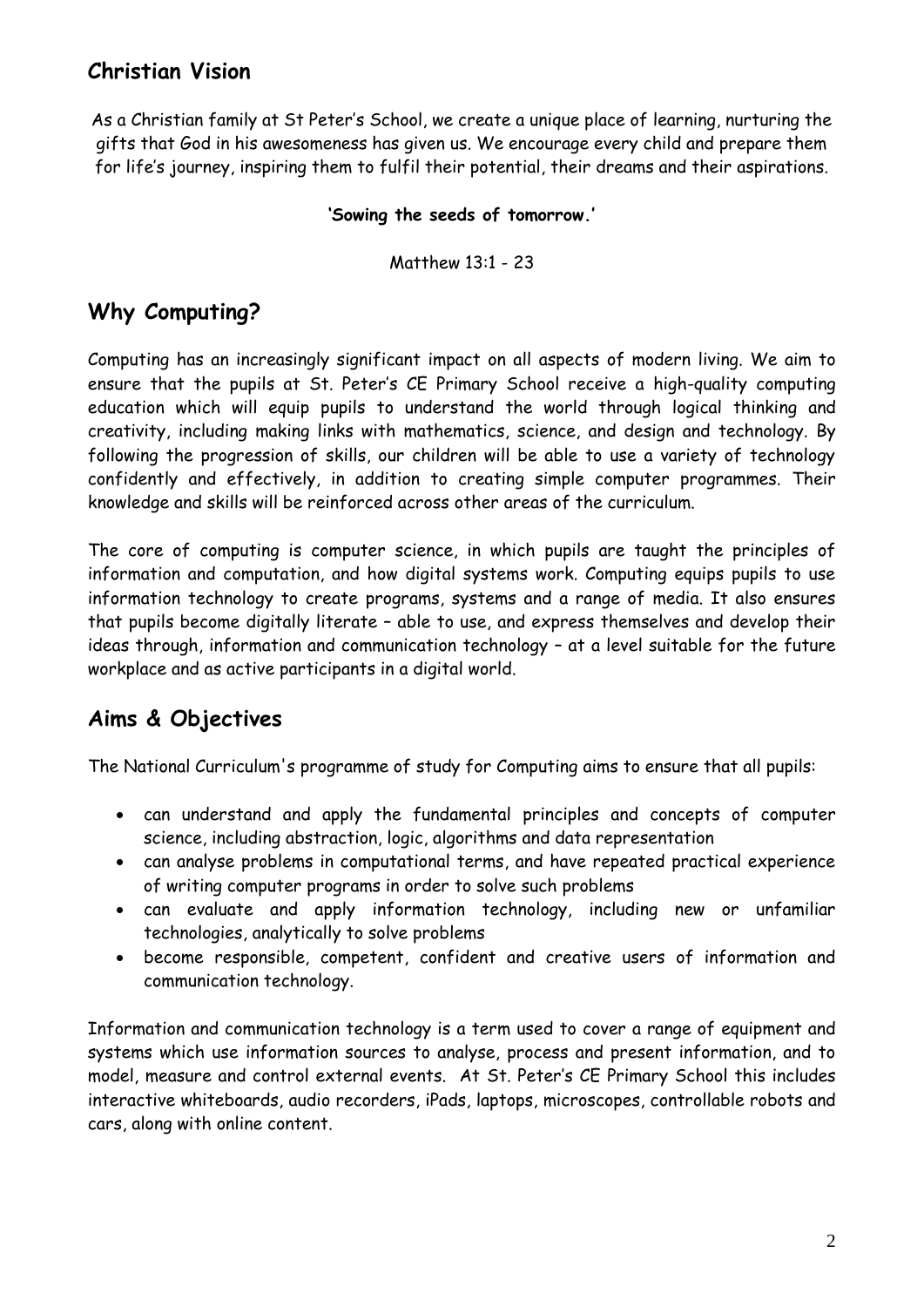# **Christian Vision**

As a Christian family at St Peter's School, we create a unique place of learning, nurturing the gifts that God in his awesomeness has given us. We encourage every child and prepare them for life's journey, inspiring them to fulfil their potential, their dreams and their aspirations.

#### **'Sowing the seeds of tomorrow.'**

Matthew 13:1 - 23

# **Why Computing?**

Computing has an increasingly significant impact on all aspects of modern living. We aim to ensure that the pupils at St. Peter's CE Primary School receive a high-quality computing education which will equip pupils to understand the world through logical thinking and creativity, including making links with mathematics, science, and design and technology. By following the progression of skills, our children will be able to use a variety of technology confidently and effectively, in addition to creating simple computer programmes. Their knowledge and skills will be reinforced across other areas of the curriculum.

The core of computing is computer science, in which pupils are taught the principles of information and computation, and how digital systems work. Computing equips pupils to use information technology to create programs, systems and a range of media. It also ensures that pupils become digitally literate – able to use, and express themselves and develop their ideas through, information and communication technology – at a level suitable for the future workplace and as active participants in a digital world.

# **Aims & Objectives**

The National Curriculum's programme of study for Computing aims to ensure that all pupils:

- can understand and apply the fundamental principles and concepts of computer science, including abstraction, logic, algorithms and data representation
- can analyse problems in computational terms, and have repeated practical experience of writing computer programs in order to solve such problems
- can evaluate and apply information technology, including new or unfamiliar technologies, analytically to solve problems
- become responsible, competent, confident and creative users of information and communication technology.

Information and communication technology is a term used to cover a range of equipment and systems which use information sources to analyse, process and present information, and to model, measure and control external events. At St. Peter's CE Primary School this includes interactive whiteboards, audio recorders, iPads, laptops, microscopes, controllable robots and cars, along with online content.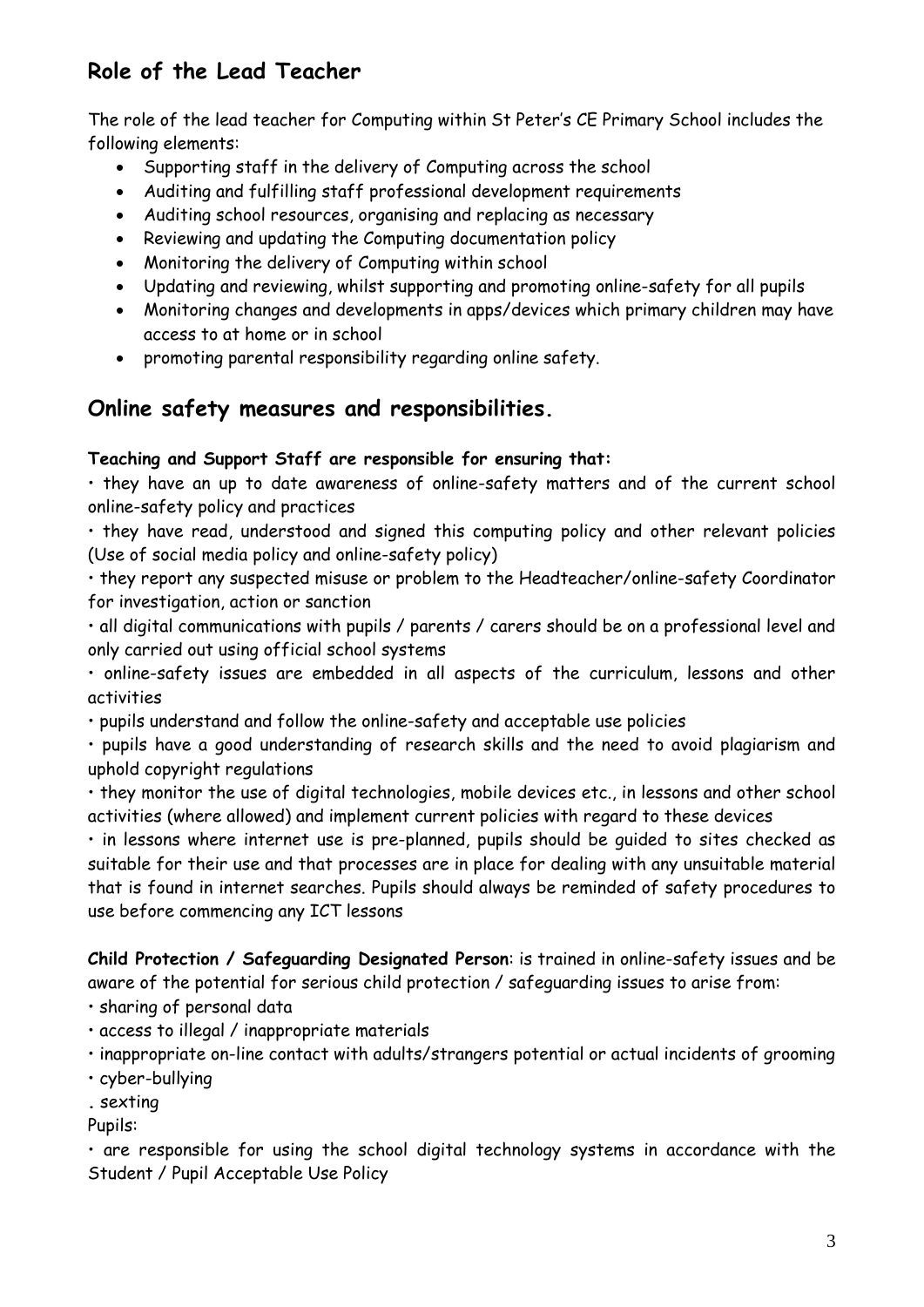# **Role of the Lead Teacher**

The role of the lead teacher for Computing within St Peter's CE Primary School includes the following elements:

- Supporting staff in the delivery of Computing across the school
- Auditing and fulfilling staff professional development requirements
- Auditing school resources, organising and replacing as necessary
- Reviewing and updating the Computing documentation policy
- Monitoring the delivery of Computing within school
- Updating and reviewing, whilst supporting and promoting online-safety for all pupils
- Monitoring changes and developments in apps/devices which primary children may have access to at home or in school
- promoting parental responsibility regarding online safety.

## **Online safety measures and responsibilities.**

#### **Teaching and Support Staff are responsible for ensuring that:**

• they have an up to date awareness of online-safety matters and of the current school online-safety policy and practices

• they have read, understood and signed this computing policy and other relevant policies (Use of social media policy and online-safety policy)

• they report any suspected misuse or problem to the Headteacher/online-safety Coordinator for investigation, action or sanction

• all digital communications with pupils / parents / carers should be on a professional level and only carried out using official school systems

• online-safety issues are embedded in all aspects of the curriculum, lessons and other activities

• pupils understand and follow the online-safety and acceptable use policies

• pupils have a good understanding of research skills and the need to avoid plagiarism and uphold copyright regulations

• they monitor the use of digital technologies, mobile devices etc., in lessons and other school activities (where allowed) and implement current policies with regard to these devices

• in lessons where internet use is pre-planned, pupils should be guided to sites checked as suitable for their use and that processes are in place for dealing with any unsuitable material that is found in internet searches. Pupils should always be reminded of safety procedures to use before commencing any ICT lessons

**Child Protection / Safeguarding Designated Person**: is trained in online-safety issues and be aware of the potential for serious child protection / safeguarding issues to arise from:

- sharing of personal data
- access to illegal / inappropriate materials
- inappropriate on-line contact with adults/strangers potential or actual incidents of grooming
- cyber-bullying

**.** sexting

Pupils:

• are responsible for using the school digital technology systems in accordance with the Student / Pupil Acceptable Use Policy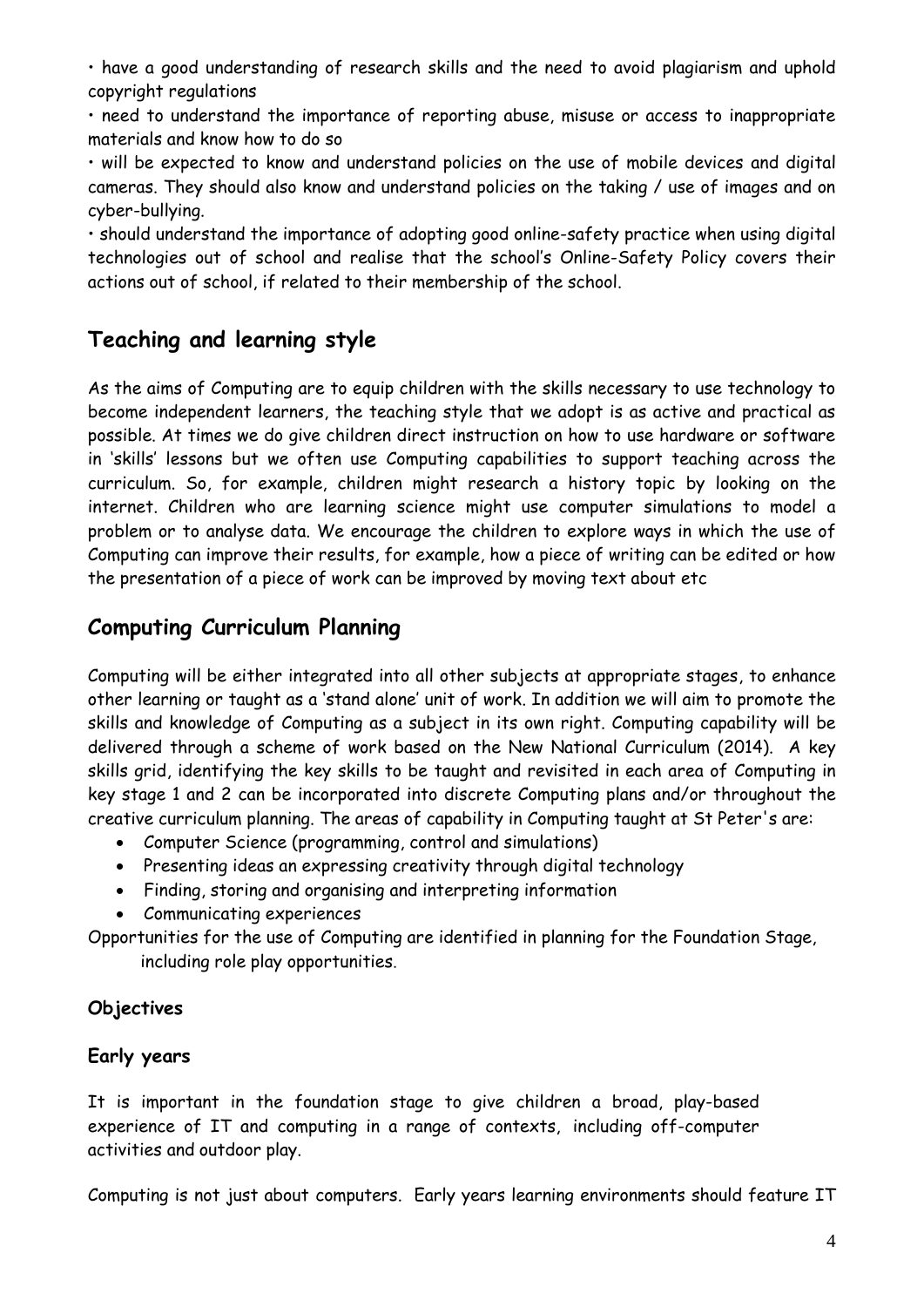• have a good understanding of research skills and the need to avoid plagiarism and uphold copyright regulations

• need to understand the importance of reporting abuse, misuse or access to inappropriate materials and know how to do so

• will be expected to know and understand policies on the use of mobile devices and digital cameras. They should also know and understand policies on the taking / use of images and on cyber-bullying.

• should understand the importance of adopting good online-safety practice when using digital technologies out of school and realise that the school's Online-Safety Policy covers their actions out of school, if related to their membership of the school.

# **Teaching and learning style**

As the aims of Computing are to equip children with the skills necessary to use technology to become independent learners, the teaching style that we adopt is as active and practical as possible. At times we do give children direct instruction on how to use hardware or software in 'skills' lessons but we often use Computing capabilities to support teaching across the curriculum. So, for example, children might research a history topic by looking on the internet. Children who are learning science might use computer simulations to model a problem or to analyse data. We encourage the children to explore ways in which the use of Computing can improve their results, for example, how a piece of writing can be edited or how the presentation of a piece of work can be improved by moving text about etc

# **Computing Curriculum Planning**

Computing will be either integrated into all other subjects at appropriate stages, to enhance other learning or taught as a 'stand alone' unit of work. In addition we will aim to promote the skills and knowledge of Computing as a subject in its own right. Computing capability will be delivered through a scheme of work based on the New National Curriculum (2014). A key skills grid, identifying the key skills to be taught and revisited in each area of Computing in key stage 1 and 2 can be incorporated into discrete Computing plans and/or throughout the creative curriculum planning. The areas of capability in Computing taught at St Peter's are:

- Computer Science (programming, control and simulations)
- Presenting ideas an expressing creativity through digital technology
- Finding, storing and organising and interpreting information
- Communicating experiences

Opportunities for the use of Computing are identified in planning for the Foundation Stage, including role play opportunities.

#### **Objectives**

#### **Early years**

It is important in the foundation stage to give children a broad, play-based experience of IT and computing in a range of contexts, including off-computer activities and outdoor play.

Computing is not just about computers. Early years learning environments should feature IT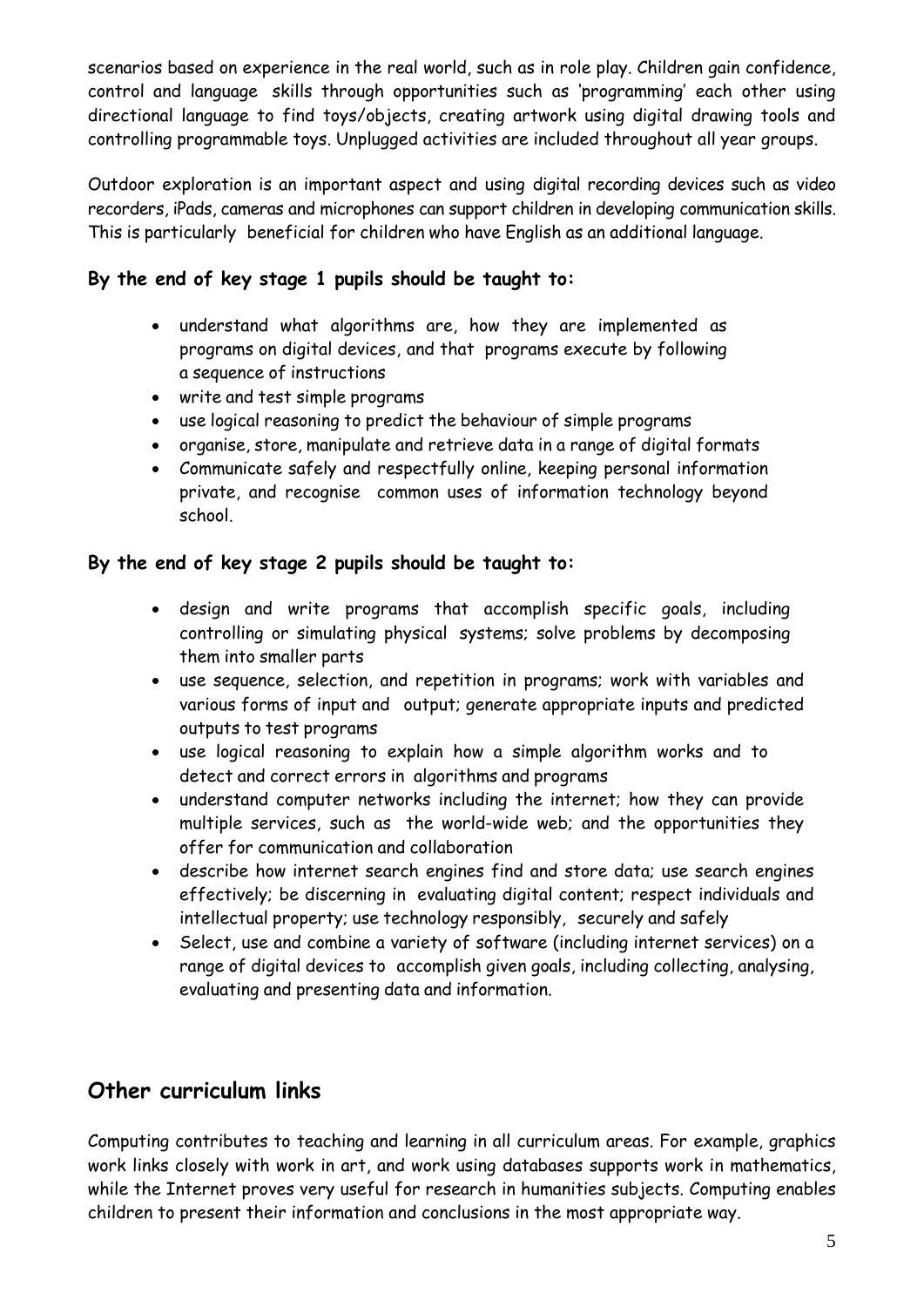scenarios based on experience in the real world, such as in role play. Children gain confidence, control and language skills through opportunities such as 'programming' each other using directional language to find toys/objects, creating artwork using digital drawing tools and controlling programmable toys. Unplugged activities are included throughout all year groups.

Outdoor exploration is an important aspect and using digital recording devices such as video recorders, iPads, cameras and microphones can support children in developing communication skills. This is particularly beneficial for children who have English as an additional language.

#### **By the end of key stage 1 pupils should be taught to:**

- understand what algorithms are, how they are implemented as programs on digital devices, and that programs execute by following a sequence of instructions
- write and test simple programs
- use logical reasoning to predict the behaviour of simple programs
- organise, store, manipulate and retrieve data in a range of digital formats
- Communicate safely and respectfully online, keeping personal information private, and recognise common uses of information technology beyond school.

#### **By the end of key stage 2 pupils should be taught to:**

- design and write programs that accomplish specific goals, including controlling or simulating physical systems; solve problems by decomposing them into smaller parts
- use sequence, selection, and repetition in programs; work with variables and various forms of input and output; generate appropriate inputs and predicted outputs to test programs
- use logical reasoning to explain how a simple algorithm works and to detect and correct errors in algorithms and programs
- understand computer networks including the internet; how they can provide multiple services, such as the world-wide web; and the opportunities they offer for communication and collaboration
- describe how internet search engines find and store data; use search engines effectively; be discerning in evaluating digital content; respect individuals and intellectual property; use technology responsibly, securely and safely
- Select, use and combine a variety of software (including internet services) on a range of digital devices to accomplish given goals, including collecting, analysing, evaluating and presenting data and information.

# **Other curriculum links**

Computing contributes to teaching and learning in all curriculum areas. For example, graphics work links closely with work in art, and work using databases supports work in mathematics, while the Internet proves very useful for research in humanities subjects. Computing enables children to present their information and conclusions in the most appropriate way.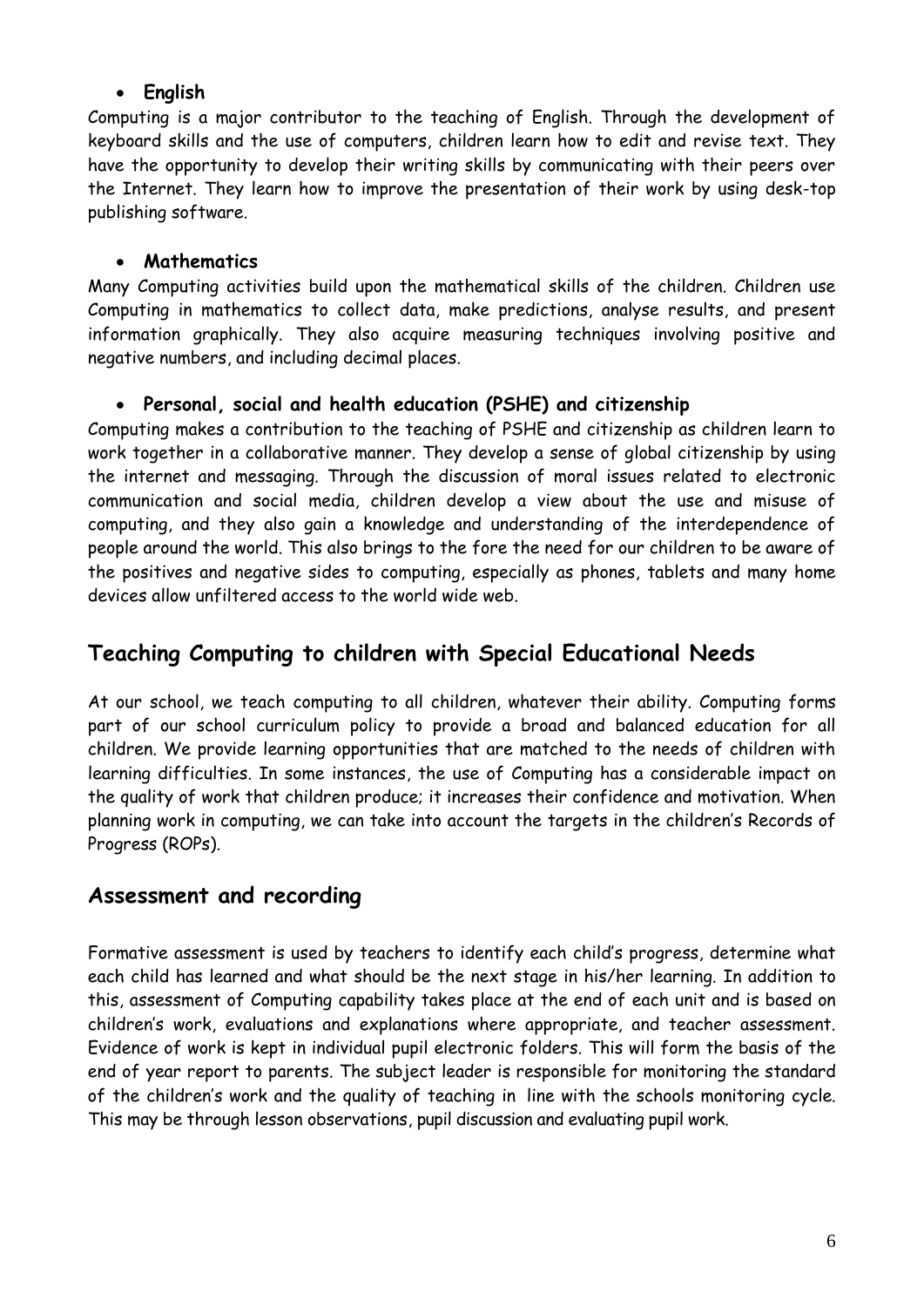#### **English**

Computing is a major contributor to the teaching of English. Through the development of keyboard skills and the use of computers, children learn how to edit and revise text. They have the opportunity to develop their writing skills by communicating with their peers over the Internet. They learn how to improve the presentation of their work by using desk-top publishing software.

#### **Mathematics**

Many Computing activities build upon the mathematical skills of the children. Children use Computing in mathematics to collect data, make predictions, analyse results, and present information graphically. They also acquire measuring techniques involving positive and negative numbers, and including decimal places.

#### **Personal, social and health education (PSHE) and citizenship**

Computing makes a contribution to the teaching of PSHE and citizenship as children learn to work together in a collaborative manner. They develop a sense of global citizenship by using the internet and messaging. Through the discussion of moral issues related to electronic communication and social media, children develop a view about the use and misuse of computing, and they also gain a knowledge and understanding of the interdependence of people around the world. This also brings to the fore the need for our children to be aware of the positives and negative sides to computing, especially as phones, tablets and many home devices allow unfiltered access to the world wide web.

# **Teaching Computing to children with Special Educational Needs**

At our school, we teach computing to all children, whatever their ability. Computing forms part of our school curriculum policy to provide a broad and balanced education for all children. We provide learning opportunities that are matched to the needs of children with learning difficulties. In some instances, the use of Computing has a considerable impact on the quality of work that children produce; it increases their confidence and motivation. When planning work in computing, we can take into account the targets in the children's Records of Progress (ROPs).

#### **Assessment and recording**

Formative assessment is used by teachers to identify each child's progress, determine what each child has learned and what should be the next stage in his/her learning. In addition to this, assessment of Computing capability takes place at the end of each unit and is based on children's work, evaluations and explanations where appropriate, and teacher assessment. Evidence of work is kept in individual pupil electronic folders. This will form the basis of the end of year report to parents. The subject leader is responsible for monitoring the standard of the children's work and the quality of teaching in line with the schools monitoring cycle. This may be through lesson observations, pupil discussion and evaluating pupil work.